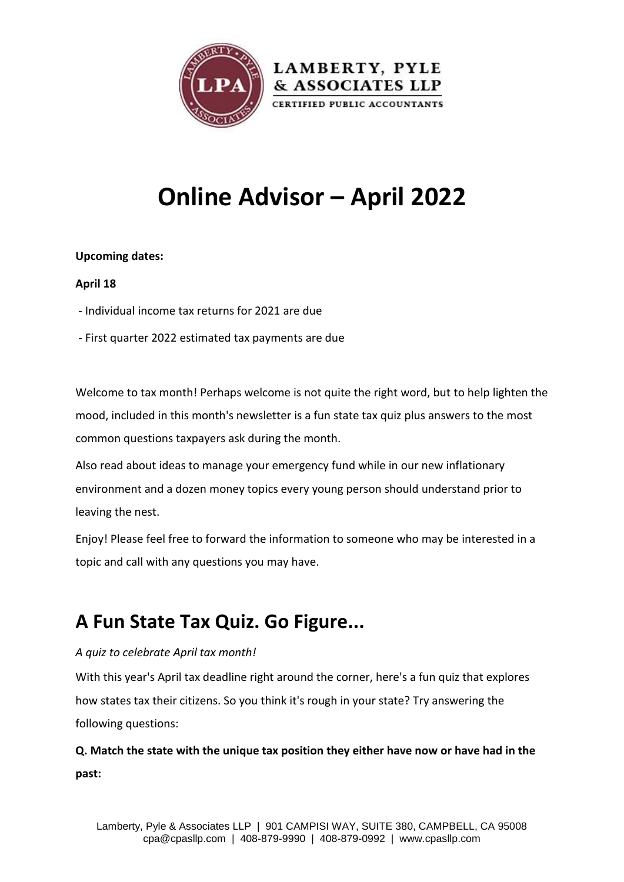

# **Online Advisor – April 2022**

#### **Upcoming dates:**

#### **April 18**

- Individual income tax returns for 2021 are due
- First quarter 2022 estimated tax payments are due

Welcome to tax month! Perhaps welcome is not quite the right word, but to help lighten the mood, included in this month's newsletter is a fun state tax quiz plus answers to the most common questions taxpayers ask during the month.

Also read about ideas to manage your emergency fund while in our new inflationary environment and a dozen money topics every young person should understand prior to leaving the nest.

Enjoy! Please feel free to forward the information to someone who may be interested in a topic and call with any questions you may have.

## **A Fun State Tax Quiz. Go Figure...**

#### *A quiz to celebrate April tax month!*

With this year's April tax deadline right around the corner, here's a fun quiz that explores how states tax their citizens. So you think it's rough in your state? Try answering the following questions:

**Q. Match the state with the unique tax position they either have now or have had in the past:**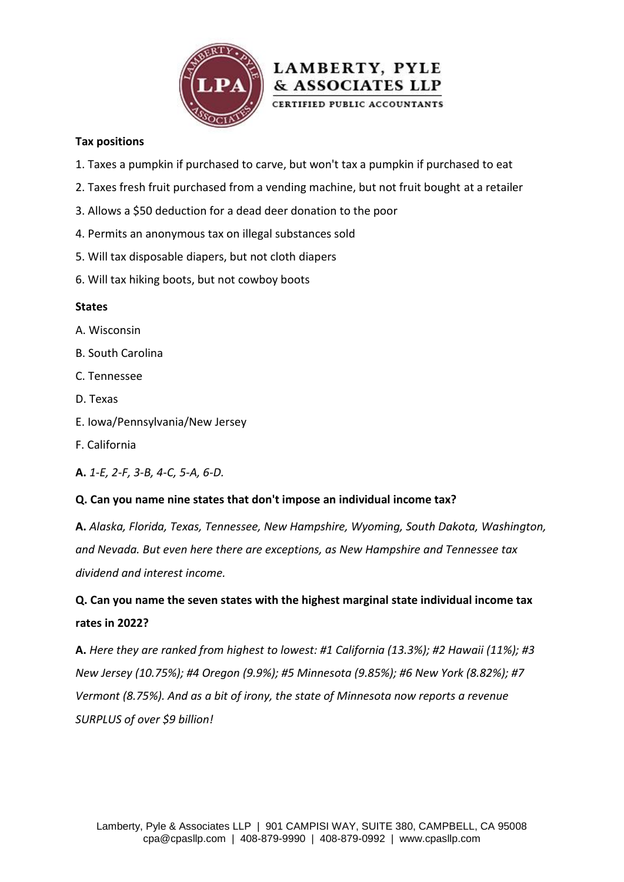

#### **Tax positions**

- 1. Taxes a pumpkin if purchased to carve, but won't tax a pumpkin if purchased to eat
- 2. Taxes fresh fruit purchased from a vending machine, but not fruit bought at a retailer

LAMBERTY, PYLE & ASSOCIATES LLP CERTIFIED PUBLIC ACCOUNTANTS

- 3. Allows a \$50 deduction for a dead deer donation to the poor
- 4. Permits an anonymous tax on illegal substances sold
- 5. Will tax disposable diapers, but not cloth diapers
- 6. Will tax hiking boots, but not cowboy boots

#### **States**

- A. Wisconsin
- B. South Carolina
- C. Tennessee
- D. Texas
- E. Iowa/Pennsylvania/New Jersey
- F. California
- **A.** *1-E, 2-F, 3-B, 4-C, 5-A, 6-D.*

#### **Q. Can you name nine states that don't impose an individual income tax?**

**A.** *Alaska, Florida, Texas, Tennessee, New Hampshire, Wyoming, South Dakota, Washington, and Nevada. But even here there are exceptions, as New Hampshire and Tennessee tax dividend and interest income.*

### **Q. Can you name the seven states with the highest marginal state individual income tax rates in 2022?**

**A.** *Here they are ranked from highest to lowest: #1 California (13.3%); #2 Hawaii (11%); #3 New Jersey (10.75%); #4 Oregon (9.9%); #5 Minnesota (9.85%); #6 New York (8.82%); #7 Vermont (8.75%). And as a bit of irony, the state of Minnesota now reports a revenue SURPLUS of over \$9 billion!*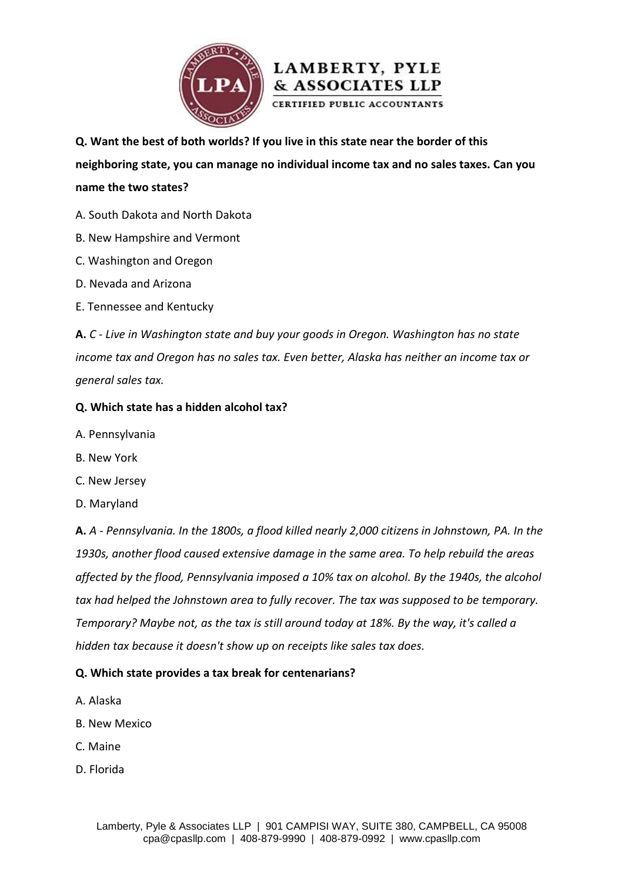



**Q. Want the best of both worlds? If you live in this state near the border of this** 

**neighboring state, you can manage no individual income tax and no sales taxes. Can you name the two states?**

- A. South Dakota and North Dakota
- B. New Hampshire and Vermont
- C. Washington and Oregon
- D. Nevada and Arizona
- E. Tennessee and Kentucky

**A.** *C - Live in Washington state and buy your goods in Oregon. Washington has no state income tax and Oregon has no sales tax. Even better, Alaska has neither an income tax or general sales tax.*

#### **Q. Which state has a hidden alcohol tax?**

- A. Pennsylvania
- B. New York
- C. New Jersey
- D. Maryland

**A.** *A - Pennsylvania. In the 1800s, a flood killed nearly 2,000 citizens in Johnstown, PA. In the 1930s, another flood caused extensive damage in the same area. To help rebuild the areas affected by the flood, Pennsylvania imposed a 10% tax on alcohol. By the 1940s, the alcohol tax had helped the Johnstown area to fully recover. The tax was supposed to be temporary. Temporary? Maybe not, as the tax is still around today at 18%. By the way, it's called a hidden tax because it doesn't show up on receipts like sales tax does.*

#### **Q. Which state provides a tax break for centenarians?**

- A. Alaska
- B. New Mexico
- C. Maine
- D. Florida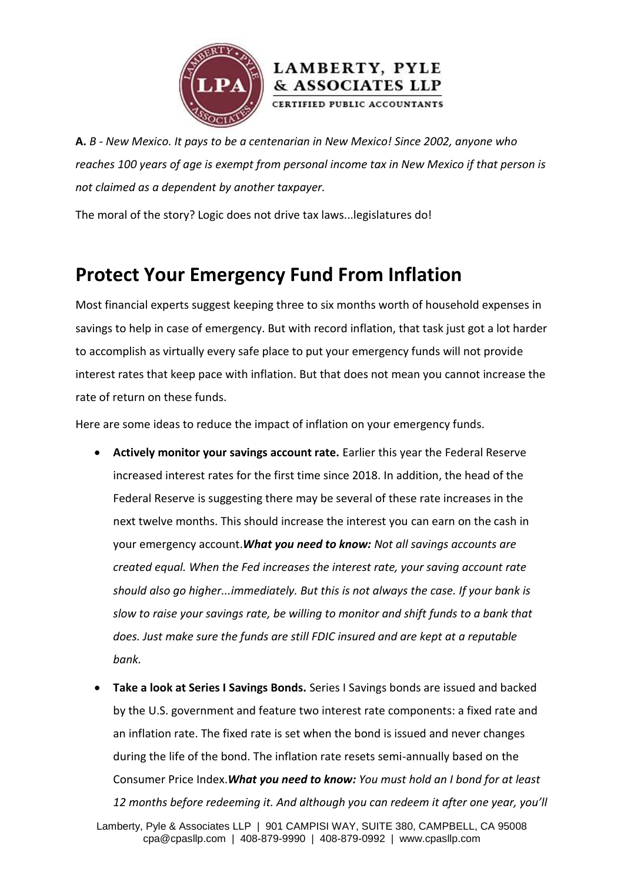



**A.** *B - New Mexico. It pays to be a centenarian in New Mexico! Since 2002, anyone who reaches 100 years of age is exempt from personal income tax in New Mexico if that person is not claimed as a dependent by another taxpayer.*

The moral of the story? Logic does not drive tax laws...legislatures do!

## **Protect Your Emergency Fund From Inflation**

Most financial experts suggest keeping three to six months worth of household expenses in savings to help in case of emergency. But with record inflation, that task just got a lot harder to accomplish as virtually every safe place to put your emergency funds will not provide interest rates that keep pace with inflation. But that does not mean you cannot increase the rate of return on these funds.

Here are some ideas to reduce the impact of inflation on your emergency funds.

- **Actively monitor your savings account rate.** Earlier this year the Federal Reserve increased interest rates for the first time since 2018. In addition, the head of the Federal Reserve is suggesting there may be several of these rate increases in the next twelve months. This should increase the interest you can earn on the cash in your emergency account.*What you need to know: Not all savings accounts are created equal. When the Fed increases the interest rate, your saving account rate should also go higher...immediately. But this is not always the case. If your bank is slow to raise your savings rate, be willing to monitor and shift funds to a bank that does. Just make sure the funds are still FDIC insured and are kept at a reputable bank.*
- **Take a look at Series I Savings Bonds.** Series I Savings bonds are issued and backed by the U.S. government and feature two interest rate components: a fixed rate and an inflation rate. The fixed rate is set when the bond is issued and never changes during the life of the bond. The inflation rate resets semi-annually based on the Consumer Price Index.*What you need to know: You must hold an I bond for at least 12 months before redeeming it. And although you can redeem it after one year, you'll*

Lamberty, Pyle & Associates LLP | 901 CAMPISI WAY, SUITE 380, CAMPBELL, CA 95008 cpa@cpasllp.com | 408-879-9990 | 408-879-0992 | www.cpasllp.com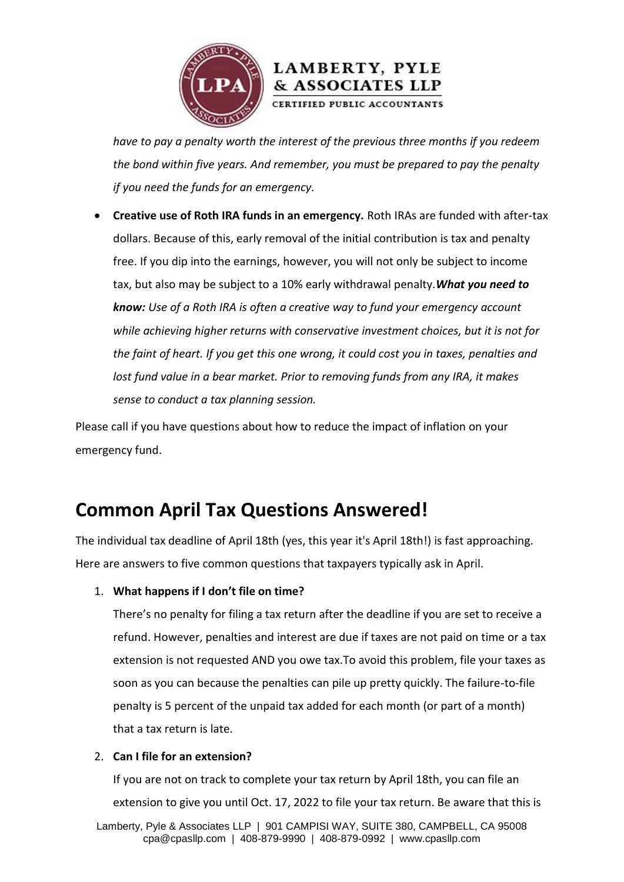

*have to pay a penalty worth the interest of the previous three months if you redeem the bond within five years. And remember, you must be prepared to pay the penalty if you need the funds for an emergency.*

 **Creative use of Roth IRA funds in an emergency.** Roth IRAs are funded with after-tax dollars. Because of this, early removal of the initial contribution is tax and penalty free. If you dip into the earnings, however, you will not only be subject to income tax, but also may be subject to a 10% early withdrawal penalty.*What you need to know: Use of a Roth IRA is often a creative way to fund your emergency account while achieving higher returns with conservative investment choices, but it is not for the faint of heart. If you get this one wrong, it could cost you in taxes, penalties and lost fund value in a bear market. Prior to removing funds from any IRA, it makes sense to conduct a tax planning session.*

Please call if you have questions about how to reduce the impact of inflation on your emergency fund.

### **Common April Tax Questions Answered!**

The individual tax deadline of April 18th (yes, this year it's April 18th!) is fast approaching. Here are answers to five common questions that taxpayers typically ask in April.

#### 1. **What happens if I don't file on time?**

There's no penalty for filing a tax return after the deadline if you are set to receive a refund. However, penalties and interest are due if taxes are not paid on time or a tax extension is not requested AND you owe tax.To avoid this problem, file your taxes as soon as you can because the penalties can pile up pretty quickly. The failure-to-file penalty is 5 percent of the unpaid tax added for each month (or part of a month) that a tax return is late.

#### 2. **Can I file for an extension?**

If you are not on track to complete your tax return by April 18th, you can file an extension to give you until Oct. 17, 2022 to file your tax return. Be aware that this is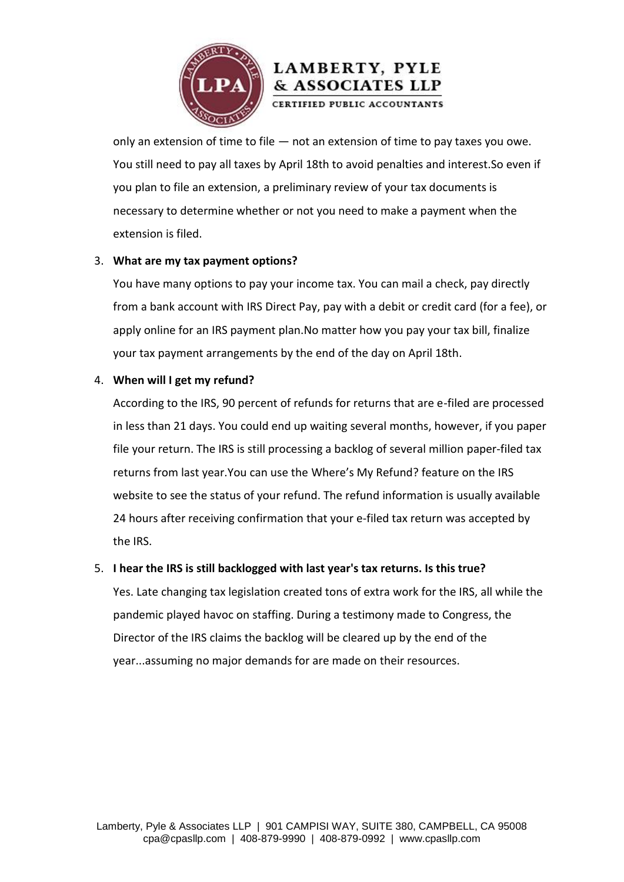

### LAMBERTY, PYLE & ASSOCIATES LLP

CERTIFIED PUBLIC ACCOUNTANTS

only an extension of time to file  $-$  not an extension of time to pay taxes you owe. You still need to pay all taxes by April 18th to avoid penalties and interest.So even if you plan to file an extension, a preliminary review of your tax documents is necessary to determine whether or not you need to make a payment when the extension is filed.

#### 3. **What are my tax payment options?**

You have many options to pay your income tax. You can mail a check, pay directly from a bank account with IRS Direct Pay, pay with a debit or credit card (for a fee), or apply online for an IRS payment plan.No matter how you pay your tax bill, finalize your tax payment arrangements by the end of the day on April 18th.

#### 4. **When will I get my refund?**

According to the IRS, 90 percent of refunds for returns that are e-filed are processed in less than 21 days. You could end up waiting several months, however, if you paper file your return. The IRS is still processing a backlog of several million paper-filed tax returns from last year.You can use the [Where's My Refund?](https://www.irs.gov/refunds) feature on the IRS website to see the status of your refund. The refund information is usually available 24 hours after receiving confirmation that your e-filed tax return was accepted by the IRS.

#### 5. **I hear the IRS is still backlogged with last year's tax returns. Is this true?**

Yes. Late changing tax legislation created tons of extra work for the IRS, all while the pandemic played havoc on staffing. During a testimony made to Congress, the Director of the IRS claims the backlog will be cleared up by the end of the year...assuming no major demands for are made on their resources.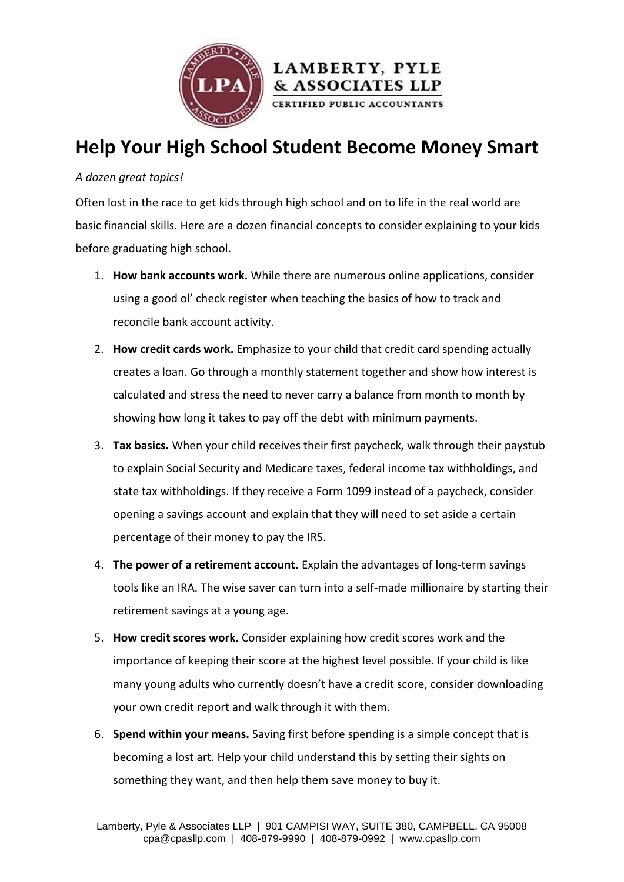

### **Help Your High School Student Become Money Smart**

#### *A dozen great topics!*

Often lost in the race to get kids through high school and on to life in the real world are basic financial skills. Here are a dozen financial concepts to consider explaining to your kids before graduating high school.

- 1. **How bank accounts work.** While there are numerous online applications, consider using a good ol' check register when teaching the basics of how to track and reconcile bank account activity.
- 2. **How credit cards work.** Emphasize to your child that credit card spending actually creates a loan. Go through a monthly statement together and show how interest is calculated and stress the need to never carry a balance from month to month by showing how long it takes to pay off the debt with minimum payments.
- 3. **Tax basics.** When your child receives their first paycheck, walk through their paystub to explain Social Security and Medicare taxes, federal income tax withholdings, and state tax withholdings. If they receive a Form 1099 instead of a paycheck, consider opening a savings account and explain that they will need to set aside a certain percentage of their money to pay the IRS.
- 4. **The power of a retirement account.** Explain the advantages of long-term savings tools like an IRA. The wise saver can turn into a self-made millionaire by starting their retirement savings at a young age.
- 5. **How credit scores work.** Consider explaining how credit scores work and the importance of keeping their score at the highest level possible. If your child is like many young adults who currently doesn't have a credit score, consider downloading your own credit report and walk through it with them.
- 6. **Spend within your means.** Saving first before spending is a simple concept that is becoming a lost art. Help your child understand this by setting their sights on something they want, and then help them save money to buy it.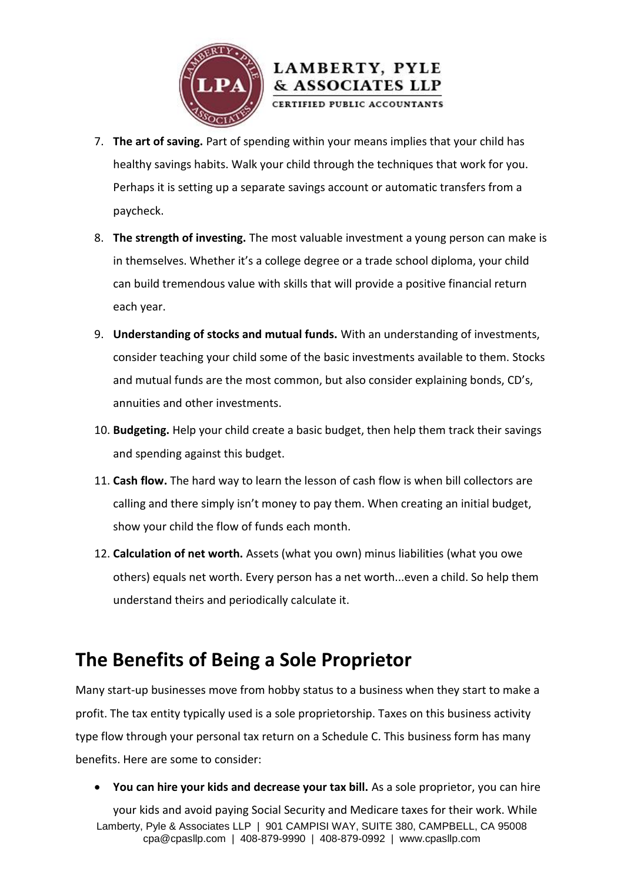



- 7. **The art of saving.** Part of spending within your means implies that your child has healthy savings habits. Walk your child through the techniques that work for you. Perhaps it is setting up a separate savings account or automatic transfers from a paycheck.
- 8. **The strength of investing.** The most valuable investment a young person can make is in themselves. Whether it's a college degree or a trade school diploma, your child can build tremendous value with skills that will provide a positive financial return each year.
- 9. **Understanding of stocks and mutual funds.** With an understanding of investments, consider teaching your child some of the basic investments available to them. Stocks and mutual funds are the most common, but also consider explaining bonds, CD's, annuities and other investments.
- 10. **Budgeting.** Help your child create a basic budget, then help them track their savings and spending against this budget.
- 11. **Cash flow.** The hard way to learn the lesson of cash flow is when bill collectors are calling and there simply isn't money to pay them. When creating an initial budget, show your child the flow of funds each month.
- 12. **Calculation of net worth.** Assets (what you own) minus liabilities (what you owe others) equals net worth. Every person has a net worth...even a child. So help them understand theirs and periodically calculate it.

### **The Benefits of Being a Sole Proprietor**

Many start-up businesses move from hobby status to a business when they start to make a profit. The tax entity typically used is a sole proprietorship. Taxes on this business activity type flow through your personal tax return on a Schedule C. This business form has many benefits. Here are some to consider:

**You can hire your kids and decrease your tax bill.** As a sole proprietor, you can hire

Lamberty, Pyle & Associates LLP | 901 CAMPISI WAY, SUITE 380, CAMPBELL, CA 95008 cpa@cpasllp.com | 408-879-9990 | 408-879-0992 | www.cpasllp.com your kids and avoid paying Social Security and Medicare taxes for their work. While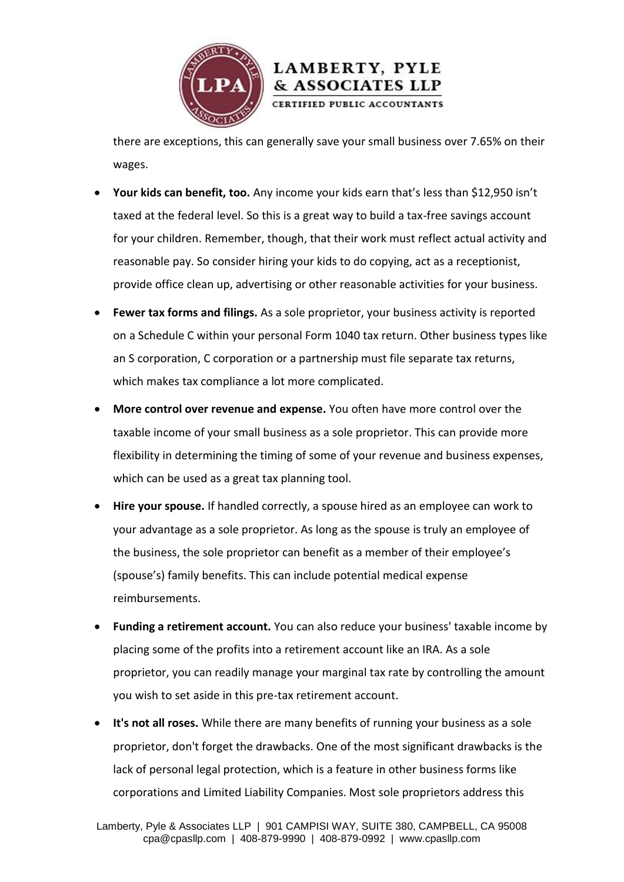

there are exceptions, this can generally save your small business over 7.65% on their wages.

& ASSOCIATES LLP

- **Your kids can benefit, too.** Any income your kids earn that's less than \$12,950 isn't taxed at the federal level. So this is a great way to build a tax-free savings account for your children. Remember, though, that their work must reflect actual activity and reasonable pay. So consider hiring your kids to do copying, act as a receptionist, provide office clean up, advertising or other reasonable activities for your business.
- **Fewer tax forms and filings.** As a sole proprietor, your business activity is reported on a Schedule C within your personal Form 1040 tax return. Other business types like an S corporation, C corporation or a partnership must file separate tax returns, which makes tax compliance a lot more complicated.
- **More control over revenue and expense.** You often have more control over the taxable income of your small business as a sole proprietor. This can provide more flexibility in determining the timing of some of your revenue and business expenses, which can be used as a great tax planning tool.
- **Hire your spouse.** If handled correctly, a spouse hired as an employee can work to your advantage as a sole proprietor. As long as the spouse is truly an employee of the business, the sole proprietor can benefit as a member of their employee's (spouse's) family benefits. This can include potential medical expense reimbursements.
- **Funding a retirement account.** You can also reduce your business' taxable income by placing some of the profits into a retirement account like an IRA. As a sole proprietor, you can readily manage your marginal tax rate by controlling the amount you wish to set aside in this pre-tax retirement account.
- **It's not all roses.** While there are many benefits of running your business as a sole proprietor, don't forget the drawbacks. One of the most significant drawbacks is the lack of personal legal protection, which is a feature in other business forms like corporations and Limited Liability Companies. Most sole proprietors address this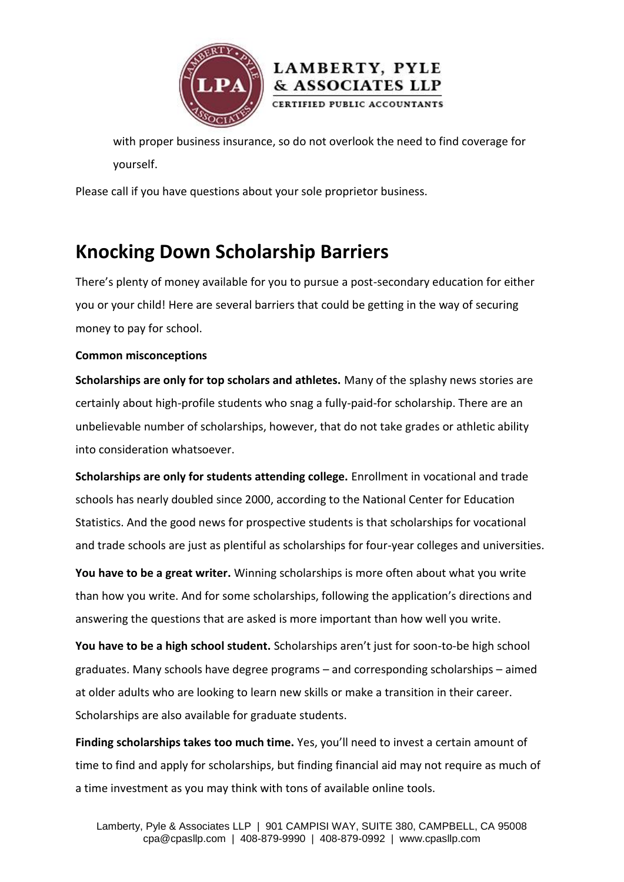



with proper business insurance, so do not overlook the need to find coverage for yourself.

Please call if you have questions about your sole proprietor business.

## **Knocking Down Scholarship Barriers**

There's plenty of money available for you to pursue a post-secondary education for either you or your child! Here are several barriers that could be getting in the way of securing money to pay for school.

#### **Common misconceptions**

**Scholarships are only for top scholars and athletes.** Many of the splashy news stories are certainly about high-profile students who snag a fully-paid-for scholarship. There are an unbelievable number of scholarships, however, that do not take grades or athletic ability into consideration whatsoever.

**Scholarships are only for students attending college.** Enrollment in vocational and trade schools has nearly doubled since 2000, according to the National Center for Education Statistics. And the good news for prospective students is that scholarships for vocational and trade schools are just as plentiful as scholarships for four-year colleges and universities.

**You have to be a great writer.** Winning scholarships is more often about what you write than how you write. And for some scholarships, following the application's directions and answering the questions that are asked is more important than how well you write.

**You have to be a high school student.** Scholarships aren't just for soon-to-be high school graduates. Many schools have degree programs – and corresponding scholarships – aimed at older adults who are looking to learn new skills or make a transition in their career. Scholarships are also available for graduate students.

**Finding scholarships takes too much time.** Yes, you'll need to invest a certain amount of time to find and apply for scholarships, but finding financial aid may not require as much of a time investment as you may think with tons of available online tools.